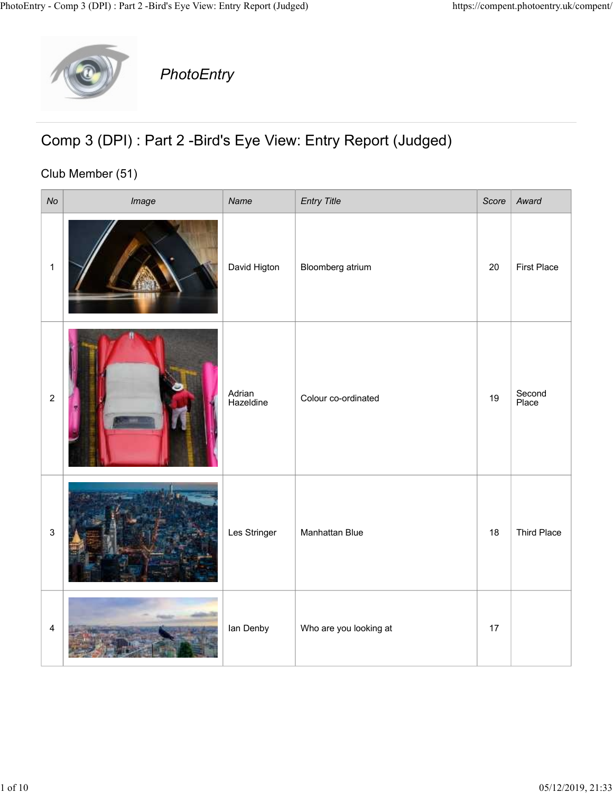

## Comp 3 (DPI) : Part 2 -Bird's Eye View: Entry Report (Judged)

## Club Member (51)

|              |                  | y - Comp 3 (DPI) : Part 2 -Bird's Eye View: Entry Report (Judged) |                     |                                                                |    | https://compent.photoentry.uk/compent/ |
|--------------|------------------|-------------------------------------------------------------------|---------------------|----------------------------------------------------------------|----|----------------------------------------|
|              |                  | PhotoEntry                                                        |                     |                                                                |    |                                        |
|              | Club Member (51) |                                                                   |                     | Comp 3 (DPI) : Part 2 - Bird's Eye View: Entry Report (Judged) |    |                                        |
| No           |                  | Image                                                             | Name                | <b>Entry Title</b>                                             |    | Score   Award                          |
| $\mathbf{1}$ |                  |                                                                   | David Higton        | Bloomberg atrium                                               | 20 | First Place                            |
|              | $\overline{c}$   |                                                                   | Adrian<br>Hazeldine | Colour co-ordinated                                            | 19 | Second<br>Place                        |
| $\mathsf 3$  |                  |                                                                   | Les Stringer        | Manhattan Blue                                                 | 18 | Third Place                            |
|              | $\overline{4}$   |                                                                   | lan Denby           | Who are you looking at                                         | 17 |                                        |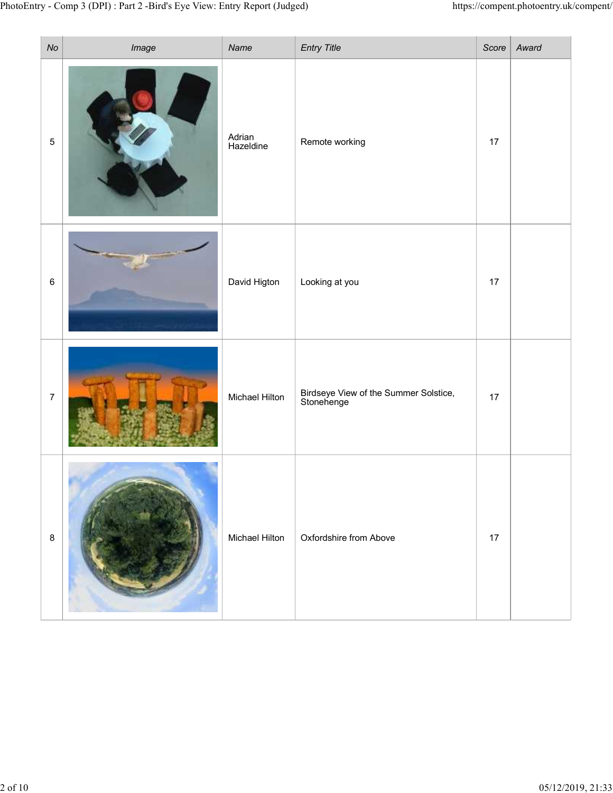|                              | y - Comp 3 (DPI) : Part 2 -Bird's Eye View: Entry Report (Judged) |                             |                                                     |      | https://compent.photoentry.uk/compent/ |
|------------------------------|-------------------------------------------------------------------|-----------------------------|-----------------------------------------------------|------|----------------------------------------|
| $N\sigma$<br>$5\phantom{.0}$ | Image                                                             | Name<br>Adrian<br>Hazeldine | Entry Title<br>Remote working                       | 17   | Score   $Award$                        |
| $\,6\,$                      |                                                                   | David Higton                | Looking at you                                      | $17$ |                                        |
| $\overline{7}$               |                                                                   | Michael Hilton              | Birdseye View of the Summer Solstice,<br>Stonehenge | 17   |                                        |
| $8\phantom{1}$               |                                                                   | Michael Hilton              | Oxfordshire from Above                              | 17   |                                        |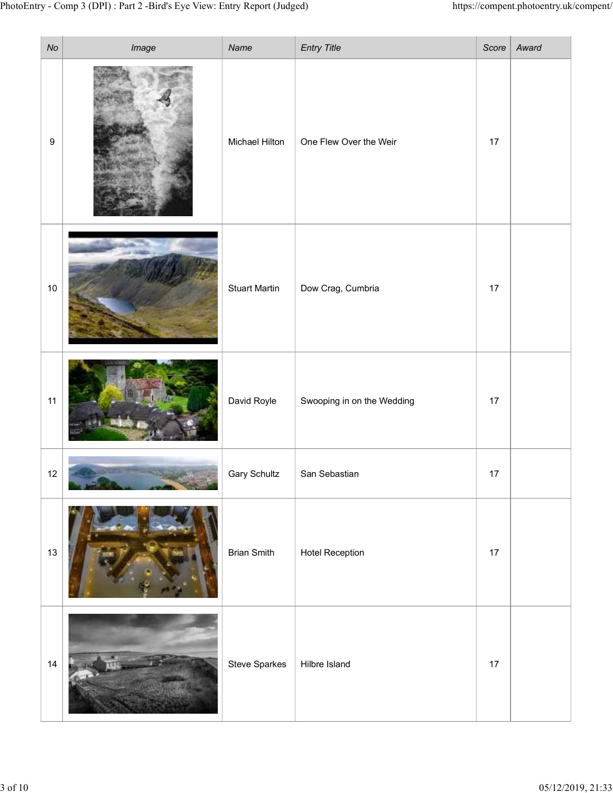| $N\!o$ | y - Comp 3 (DPI) : Part 2 -Bird's Eye View: Entry Report (Judged) | Name                  | <b>Entry Title</b>         | https://compent.photoentry.uk/compent/ | Score   Award |
|--------|-------------------------------------------------------------------|-----------------------|----------------------------|----------------------------------------|---------------|
| 9      | Image                                                             | <b>Michael Hilton</b> | One Flew Over the Weir     | $17$                                   |               |
| 10     |                                                                   | <b>Stuart Martin</b>  | Dow Crag, Cumbria          | $17$                                   |               |
| 11     |                                                                   | David Royle           | Swooping in on the Wedding | $17$                                   |               |
| 12     |                                                                   | <b>Gary Schultz</b>   | San Sebastian              | $17$                                   |               |
| 13     |                                                                   | <b>Brian Smith</b>    | <b>Hotel Reception</b>     | $17$                                   |               |
| 14     |                                                                   | Steve Sparkes         | Hilbre Island              | $17$                                   |               |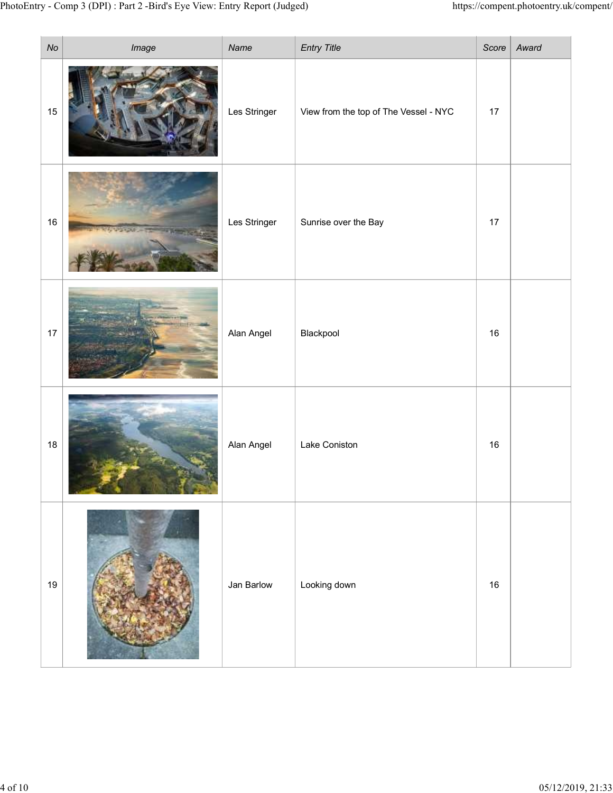| $\mathcal{N}o$ | ry - Comp 3 (DPI) : Part 2 -Bird's Eye View: Entry Report (Judged)<br>Image | Name         | <b>Entry Title</b>                    |        | https://compent.photoentry.uk/compent/<br>Score   $Award$ |  |
|----------------|-----------------------------------------------------------------------------|--------------|---------------------------------------|--------|-----------------------------------------------------------|--|
| 15             |                                                                             | Les Stringer | View from the top of The Vessel - NYC | 17     |                                                           |  |
| 16             |                                                                             | Les Stringer | Sunrise over the Bay                  | 17     |                                                           |  |
| $17$           |                                                                             | Alan Angel   | Blackpool                             | 16     |                                                           |  |
| 18             |                                                                             | Alan Angel   | Lake Coniston                         | 16     |                                                           |  |
| 19             |                                                                             | Jan Barlow   | Looking down                          | $16\,$ |                                                           |  |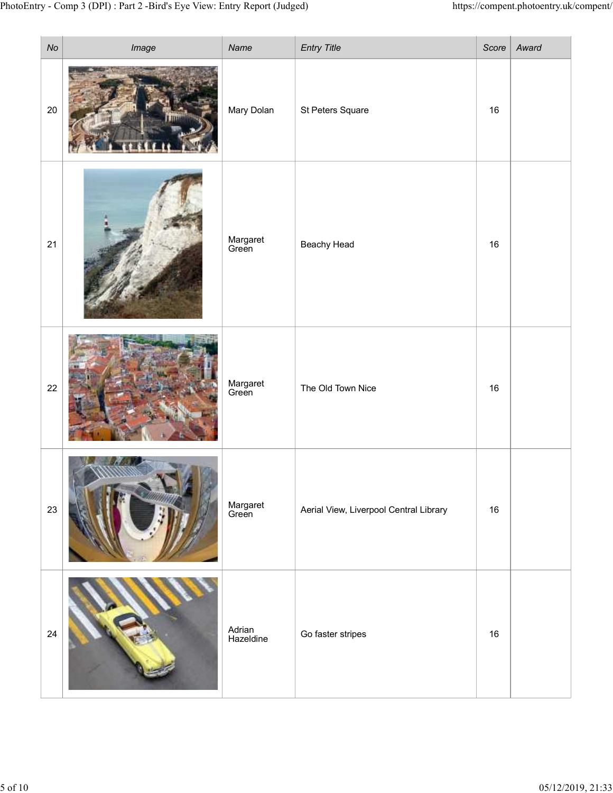| No     | ry - Comp 3 (DPI) : Part 2 -Bird's Eye View: Entry Report (Judged)<br>Image | Name                | Entry Title                            |        | https://compent.photoentry.uk/compent/<br>Score   $Award$ |
|--------|-----------------------------------------------------------------------------|---------------------|----------------------------------------|--------|-----------------------------------------------------------|
| $20\,$ |                                                                             | Mary Dolan          | St Peters Square                       | 16     |                                                           |
| 21     |                                                                             | Margaret<br>Green   | Beachy Head                            | 16     |                                                           |
| 22     |                                                                             | Margaret<br>Green   | The Old Town Nice                      | $16\,$ |                                                           |
| 23     |                                                                             | Margaret<br>Green   | Aerial View, Liverpool Central Library | $16\,$ |                                                           |
| $24\,$ |                                                                             | Adrian<br>Hazeldine | Go faster stripes                      | 16     |                                                           |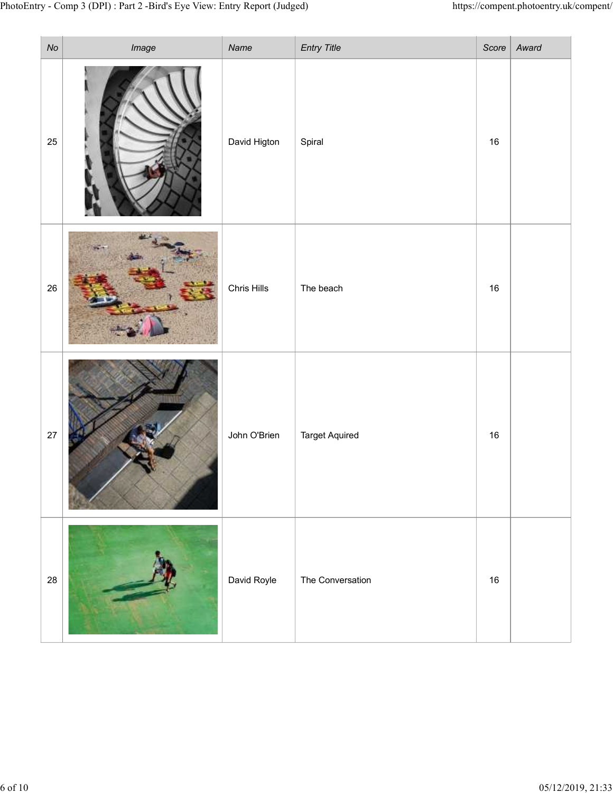| N <sub>O</sub> | ry - Comp 3 (DPI) : Part 2 -Bird's Eye View: Entry Report (Judged)<br>Image | Name         | <b>Entry Title</b>    |        | https://compent.photoentry.uk/compent/<br>Score $\vert$ Award |
|----------------|-----------------------------------------------------------------------------|--------------|-----------------------|--------|---------------------------------------------------------------|
| 25             |                                                                             | David Higton | Spiral                | 16     |                                                               |
| $26\,$         |                                                                             | Chris Hills  | The beach             | 16     |                                                               |
| $27\,$         |                                                                             | John O'Brien | <b>Target Aquired</b> | $16\,$ |                                                               |
| ${\bf 28}$     |                                                                             | David Royle  | The Conversation      | 16     |                                                               |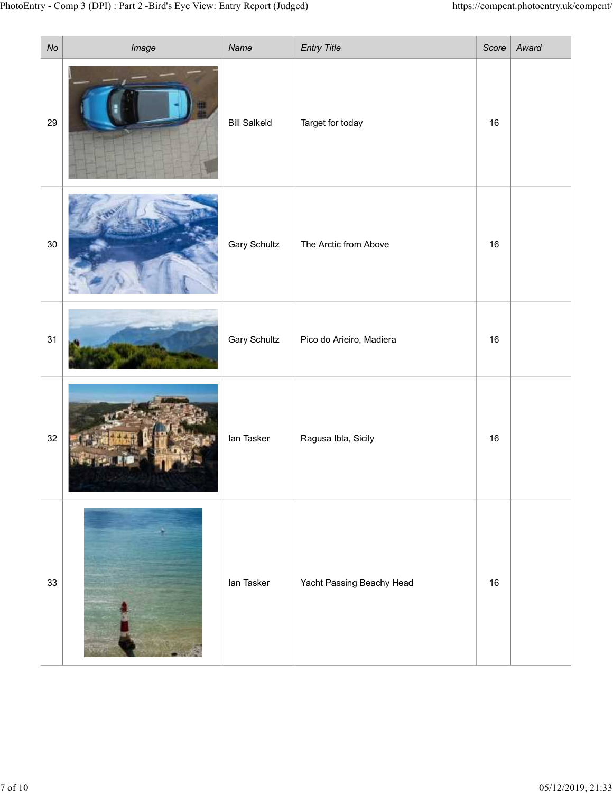| $\mathcal{N}o$ | ry - Comp 3 (DPI) : Part 2 -Bird's Eye View: Entry Report (Judged)<br>Image | Name                | <b>Entry Title</b>        |        | https://compent.photoentry.uk/compent/<br>Score   $Award$ |  |
|----------------|-----------------------------------------------------------------------------|---------------------|---------------------------|--------|-----------------------------------------------------------|--|
| 29             |                                                                             | <b>Bill Salkeld</b> | Target for today          | 16     |                                                           |  |
| $30\,$         |                                                                             | <b>Gary Schultz</b> | The Arctic from Above     | $16\,$ |                                                           |  |
| 31             |                                                                             | <b>Gary Schultz</b> | Pico do Arieiro, Madiera  | 16     |                                                           |  |
| $32\,$         |                                                                             | lan Tasker          | Ragusa Ibla, Sicily       | 16     |                                                           |  |
| $33\,$         |                                                                             | lan Tasker          | Yacht Passing Beachy Head | 16     |                                                           |  |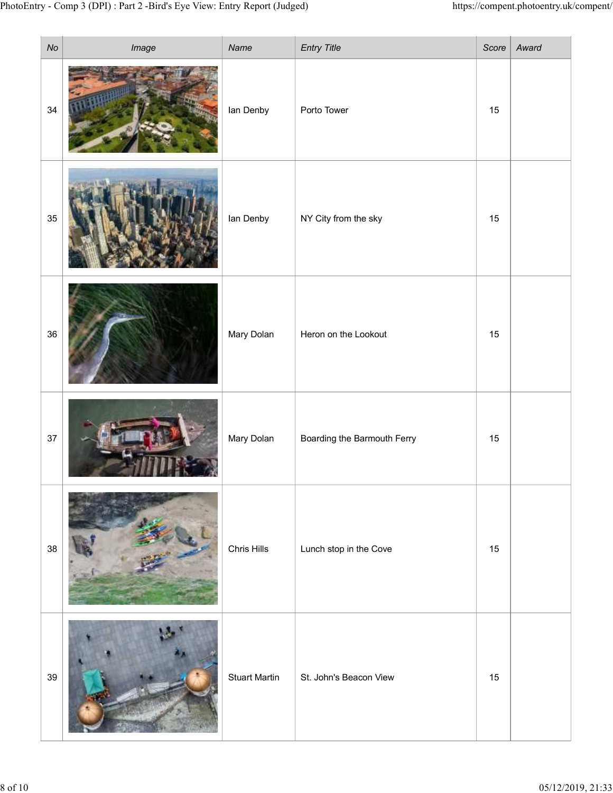|        |       |                      |                             |                                                                    | https://compent.photoentry.uk/compent/ |
|--------|-------|----------------------|-----------------------------|--------------------------------------------------------------------|----------------------------------------|
| $N\!o$ | Image | Name                 | Entry Title                 |                                                                    | Score   $Award$                        |
| $34$   |       | lan Denby            | Porto Tower                 | 15                                                                 |                                        |
| 35     |       | lan Denby            | NY City from the sky        | 15                                                                 |                                        |
| 36     |       | Mary Dolan           | Heron on the Lookout        | 15                                                                 |                                        |
| $37\,$ |       | Mary Dolan           | Boarding the Barmouth Ferry | 15                                                                 |                                        |
| 38     |       | Chris Hills          | Lunch stop in the Cove      | 15                                                                 |                                        |
| $39\,$ |       | <b>Stuart Martin</b> | St. John's Beacon View      | 15                                                                 |                                        |
|        |       |                      |                             | ry - Comp 3 (DPI) : Part 2 -Bird's Eye View: Entry Report (Judged) |                                        |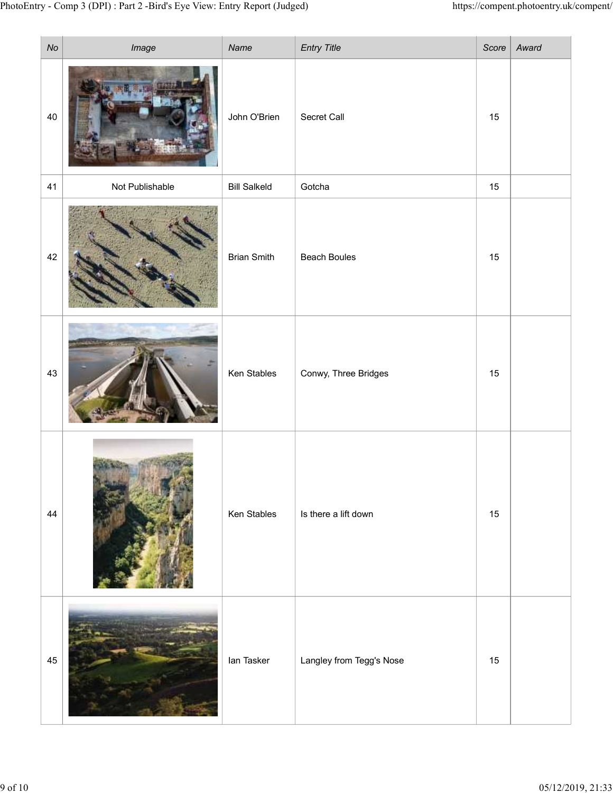|        | y - Comp 3 (DPI) : Part 2 -Bird's Eye View: Entry Report (Judged) |                     |                          |    | https://compent.photoentry.uk/compent/ |
|--------|-------------------------------------------------------------------|---------------------|--------------------------|----|----------------------------------------|
| $N\!o$ | Image                                                             | Name                | <b>Entry Title</b>       |    | Score   $Award$                        |
| 40     |                                                                   | John O'Brien        | Secret Call              | 15 |                                        |
| 41     | Not Publishable                                                   | <b>Bill Salkeld</b> | Gotcha                   | 15 |                                        |
| 42     |                                                                   | <b>Brian Smith</b>  | <b>Beach Boules</b>      | 15 |                                        |
| 43     |                                                                   | Ken Stables         | Conwy, Three Bridges     | 15 |                                        |
| 44     |                                                                   | Ken Stables         | Is there a lift down     | 15 |                                        |
| 45     |                                                                   | lan Tasker          | Langley from Tegg's Nose | 15 |                                        |